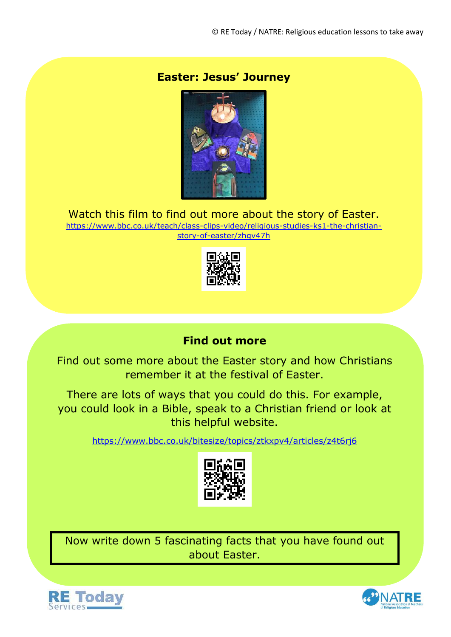### **Easter: Jesus' Journey**



Watch this film to find out more about the story of Easter.

[https://www.bbc.co.uk/teach/class-clips-video/religious-studies-ks1-the-christian](https://www.bbc.co.uk/teach/class-clips-video/religious-studies-ks1-the-christian-story-of-easter/zhgv47h)[story-of-easter/zhgv47h](https://www.bbc.co.uk/teach/class-clips-video/religious-studies-ks1-the-christian-story-of-easter/zhgv47h)



## **Find out more**

Find out some more about the Easter story and how Christians remember it at the festival of Easter.

There are lots of ways that you could do this. For example, you could look in a Bible, speak to a Christian friend or look at this helpful website.

<https://www.bbc.co.uk/bitesize/topics/ztkxpv4/articles/z4t6rj6>



Now write down 5 fascinating facts that you have found out about Easter.



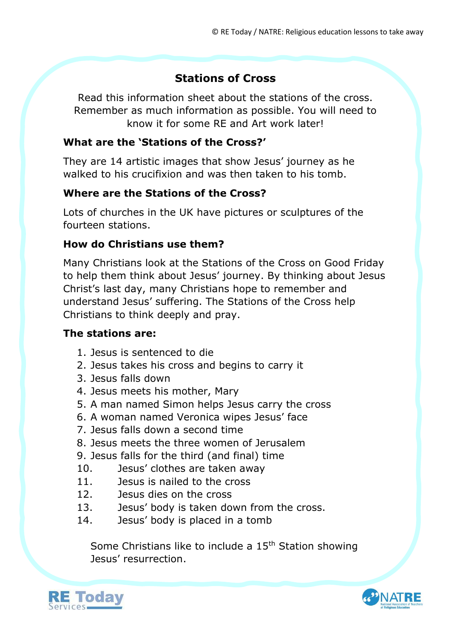# **Stations of Cross**

Read this information sheet about the stations of the cross. Remember as much information as possible. You will need to know it for some RE and Art work later!

### **What are the 'Stations of the Cross?'**

They are 14 artistic images that show Jesus' journey as he walked to his crucifixion and was then taken to his tomb.

## **Where are the Stations of the Cross?**

Lots of churches in the UK have pictures or sculptures of the fourteen stations.

### **How do Christians use them?**

Many Christians look at the Stations of the Cross on Good Friday to help them think about Jesus' journey. By thinking about Jesus Christ's last day, many Christians hope to remember and understand Jesus' suffering. The Stations of the Cross help Christians to think deeply and pray.

### **The stations are:**

- 1. Jesus is sentenced to die
- 2. Jesus takes his cross and begins to carry it
- 3. Jesus falls down
- 4. Jesus meets his mother, Mary
- 5. A man named Simon helps Jesus carry the cross
- 6. A woman named Veronica wipes Jesus' face
- 7. Jesus falls down a second time
- 8. Jesus meets the three women of Jerusalem
- 9. Jesus falls for the third (and final) time
- 10. Jesus' clothes are taken away
- 11. Jesus is nailed to the cross
- 12. Jesus dies on the cross
- 13. Jesus' body is taken down from the cross.
- 14. Jesus' body is placed in a tomb

Some Christians like to include a 15<sup>th</sup> Station showing Jesus' resurrection.



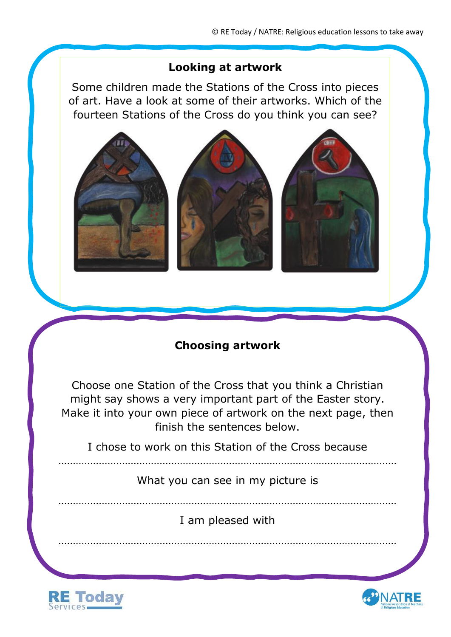### **Looking at artwork**

Some children made the Stations of the Cross into pieces of art. Have a look at some of their artworks. Which of the fourteen Stations of the Cross do you think you can see?



# **Choosing artwork**

Choose one Station of the Cross that you think a Christian might say shows a very important part of the Easter story. Make it into your own piece of artwork on the next page, then finish the sentences below.

I chose to work on this Station of the Cross because

What you can see in my picture is

I am pleased with